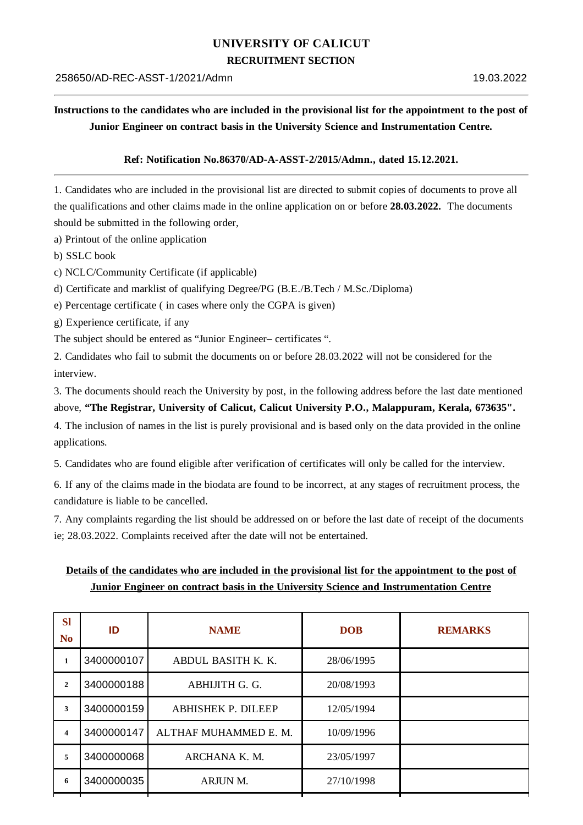# **UNIVERSITY OF CALICUT**

#### **RECRUITMENT SECTION**

## Instructions to the candidates who are included in the provisional list for the appointment to the post of **Junior Engineer on contract basis in the University Science and Instrumentation Centre.**

#### **Ref: Notification No.86370/AD-A-ASST-2/2015/Admn., dated 15.12.2021.**

1. Candidates who are included in the provisional list are directed to submit copies of documents to prove all the qualifications and other claims made in the online application on or before **28.03.2022.** The documents should be submitted in the following order,

a) Printout of the online application

b) SSLC book

c) NCLC/Community Certificate (if applicable)

d) Certificate and marklist of qualifying Degree/PG (B.E./B.Tech / M.Sc./Diploma)

e) Percentage certificate ( in cases where only the CGPA is given)

g) Experience certificate, if any

The subject should be entered as "Junior Engineer– certificates ".

2. Candidates who fail to submit the documents on or before 28.03.2022 will not be considered for the interview.

3. The documents should reach the University by post, in the following address before the last date mentioned

### above, **"The Registrar, University of Calicut, Calicut University P.O., Malappuram, Kerala, 673635".**

4. The inclusion of names in the list is purely provisional and is based only on the data provided in the online applications.

5. Candidates who are found eligible after verification of certificates will only be called for the interview.

6. If any of the claims made in the biodata are found to be incorrect, at any stages of recruitment process, the candidature is liable to be cancelled.

7. Any complaints regarding the list should be addressed on or before the last date of receipt of the documents ie; 28.03.2022. Complaints received after the date will not be entertained.

## Details of the candidates who are included in the provisional list for the appointment to the post of **Junior Engineer on contract basis in the University Science and Instrumentation Centre**

| <b>REMARKS</b> |
|----------------|
|                |
|                |
|                |
|                |
|                |
|                |
|                |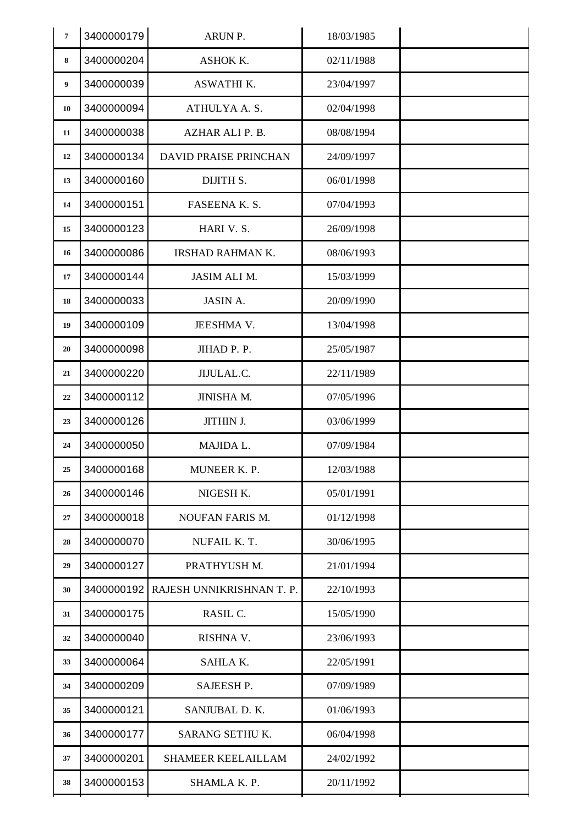| $\overline{7}$ | 3400000179 | ARUN P.                   | 18/03/1985 |  |
|----------------|------------|---------------------------|------------|--|
| 8              | 3400000204 | ASHOK K.                  | 02/11/1988 |  |
| 9              | 3400000039 | <b>ASWATHI K.</b>         | 23/04/1997 |  |
| 10             | 3400000094 | ATHULYA A.S.              | 02/04/1998 |  |
| 11             | 3400000038 | AZHAR ALI P. B.           | 08/08/1994 |  |
| 12             | 3400000134 | DAVID PRAISE PRINCHAN     | 24/09/1997 |  |
| 13             | 3400000160 | DIJITH S.                 | 06/01/1998 |  |
| 14             | 3400000151 | FASEENA K. S.             | 07/04/1993 |  |
| 15             | 3400000123 | HARI V. S.                | 26/09/1998 |  |
| 16             | 3400000086 | IRSHAD RAHMAN K.          | 08/06/1993 |  |
| 17             | 3400000144 | <b>JASIM ALI M.</b>       | 15/03/1999 |  |
| 18             | 3400000033 | <b>JASIN A.</b>           | 20/09/1990 |  |
| 19             | 3400000109 | JEESHMA V.                | 13/04/1998 |  |
| 20             | 3400000098 | JIHAD P. P.               | 25/05/1987 |  |
| 21             | 3400000220 | JIJULAL.C.                | 22/11/1989 |  |
| 22             | 3400000112 | JINISHA M.                | 07/05/1996 |  |
| 23             | 3400000126 | JITHIN J.                 | 03/06/1999 |  |
| 24             | 3400000050 | MAJIDA L.                 | 07/09/1984 |  |
| 25             | 3400000168 | MUNEER K. P.              | 12/03/1988 |  |
| 26             | 3400000146 | NIGESH K.                 | 05/01/1991 |  |
| 27             | 3400000018 | <b>NOUFAN FARIS M.</b>    | 01/12/1998 |  |
| 28             | 3400000070 | NUFAIL K.T.               | 30/06/1995 |  |
| 29             | 3400000127 | PRATHYUSH M.              | 21/01/1994 |  |
| 30             | 3400000192 | RAJESH UNNIKRISHNAN T. P. | 22/10/1993 |  |
| 31             | 3400000175 | RASIL C.                  | 15/05/1990 |  |
| 32             | 3400000040 | RISHNA V.                 | 23/06/1993 |  |
| 33             | 3400000064 | SAHLAK.                   | 22/05/1991 |  |
| 34             | 3400000209 | SAJEESH P.                | 07/09/1989 |  |
| 35             | 3400000121 | SANJUBAL D. K.            | 01/06/1993 |  |
| 36             | 3400000177 | SARANG SETHU K.           | 06/04/1998 |  |
| 37             | 3400000201 | <b>SHAMEER KEELAILLAM</b> | 24/02/1992 |  |
| 38             | 3400000153 | SHAMLA K. P.              | 20/11/1992 |  |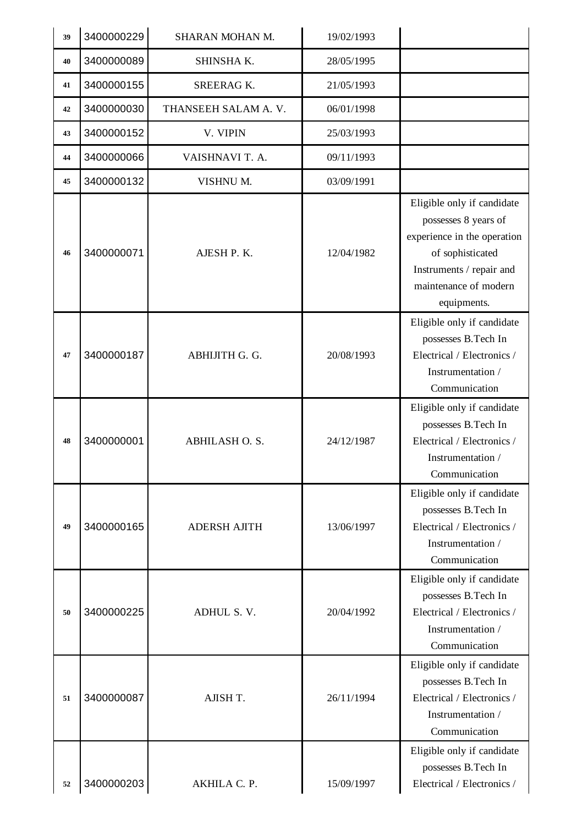| 39 | 3400000229 | SHARAN MOHAN M.     | 19/02/1993 |                                                                                                                                                                           |
|----|------------|---------------------|------------|---------------------------------------------------------------------------------------------------------------------------------------------------------------------------|
| 40 | 3400000089 | SHINSHA K.          | 28/05/1995 |                                                                                                                                                                           |
| 41 | 3400000155 | <b>SREERAG K.</b>   | 21/05/1993 |                                                                                                                                                                           |
| 42 | 3400000030 | THANSEEH SALAM A.V. | 06/01/1998 |                                                                                                                                                                           |
| 43 | 3400000152 | V. VIPIN            | 25/03/1993 |                                                                                                                                                                           |
| 44 | 3400000066 | VAISHNAVI T. A.     | 09/11/1993 |                                                                                                                                                                           |
| 45 | 3400000132 | VISHNU M.           | 03/09/1991 |                                                                                                                                                                           |
| 46 | 3400000071 | AJESH P.K.          | 12/04/1982 | Eligible only if candidate<br>possesses 8 years of<br>experience in the operation<br>of sophisticated<br>Instruments / repair and<br>maintenance of modern<br>equipments. |
| 47 | 3400000187 | ABHIJITH G. G.      | 20/08/1993 | Eligible only if candidate<br>possesses B.Tech In<br>Electrical / Electronics /<br>Instrumentation /<br>Communication                                                     |
| 48 | 3400000001 | ABHILASH O.S.       | 24/12/1987 | Eligible only if candidate<br>possesses B.Tech In<br>Electrical / Electronics /<br>Instrumentation /<br>Communication                                                     |
| 49 | 3400000165 | <b>ADERSH AJITH</b> | 13/06/1997 | Eligible only if candidate<br>possesses B.Tech In<br>Electrical / Electronics /<br>Instrumentation /<br>Communication                                                     |
| 50 | 3400000225 | ADHUL S.V.          | 20/04/1992 | Eligible only if candidate<br>possesses B.Tech In<br>Electrical / Electronics /<br>Instrumentation /<br>Communication                                                     |
| 51 | 3400000087 | AJISH T.            | 26/11/1994 | Eligible only if candidate<br>possesses B.Tech In<br>Electrical / Electronics /<br>Instrumentation /<br>Communication                                                     |
| 52 | 3400000203 | AKHILA C. P.        | 15/09/1997 | Eligible only if candidate<br>possesses B.Tech In<br>Electrical / Electronics /                                                                                           |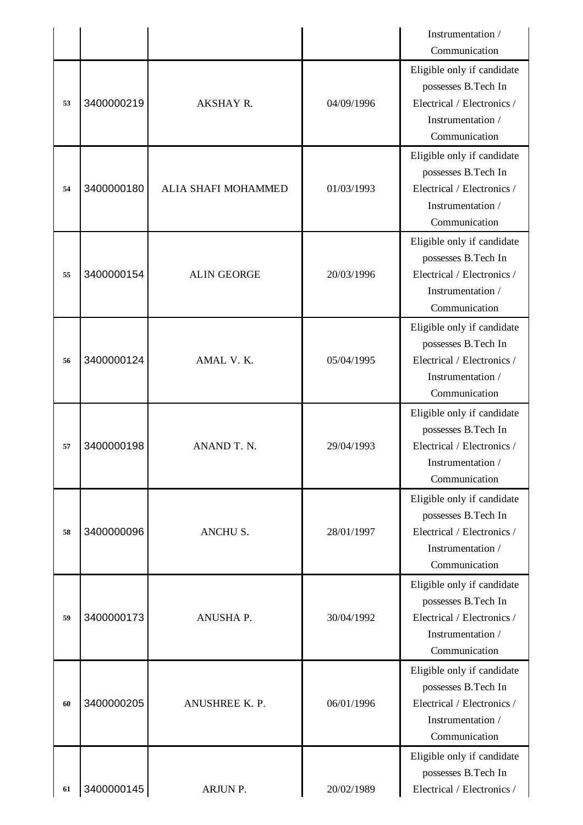|    |            |                     |            | Instrumentation /                                                                                                     |
|----|------------|---------------------|------------|-----------------------------------------------------------------------------------------------------------------------|
|    |            |                     |            | Communication                                                                                                         |
| 53 | 3400000219 | AKSHAY R.           | 04/09/1996 | Eligible only if candidate<br>possesses B.Tech In<br>Electrical / Electronics /<br>Instrumentation /<br>Communication |
| 54 | 3400000180 | ALIA SHAFI MOHAMMED | 01/03/1993 | Eligible only if candidate<br>possesses B.Tech In<br>Electrical / Electronics /<br>Instrumentation /<br>Communication |
| 55 | 3400000154 | <b>ALIN GEORGE</b>  | 20/03/1996 | Eligible only if candidate<br>possesses B.Tech In<br>Electrical / Electronics /<br>Instrumentation /<br>Communication |
| 56 | 3400000124 | AMAL V.K.           | 05/04/1995 | Eligible only if candidate<br>possesses B.Tech In<br>Electrical / Electronics /<br>Instrumentation /<br>Communication |
| 57 | 3400000198 | ANAND T. N.         | 29/04/1993 | Eligible only if candidate<br>possesses B.Tech In<br>Electrical / Electronics /<br>Instrumentation /<br>Communication |
| 58 | 3400000096 | ANCHU S.            | 28/01/1997 | Eligible only if candidate<br>possesses B.Tech In<br>Electrical / Electronics /<br>Instrumentation /<br>Communication |
| 59 | 3400000173 | ANUSHA P.           | 30/04/1992 | Eligible only if candidate<br>possesses B.Tech In<br>Electrical / Electronics /<br>Instrumentation /<br>Communication |
| 60 | 3400000205 | ANUSHREE K. P.      | 06/01/1996 | Eligible only if candidate<br>possesses B.Tech In<br>Electrical / Electronics /<br>Instrumentation /<br>Communication |
| 61 | 3400000145 | ARJUN P.            | 20/02/1989 | Eligible only if candidate<br>possesses B.Tech In<br>Electrical / Electronics /                                       |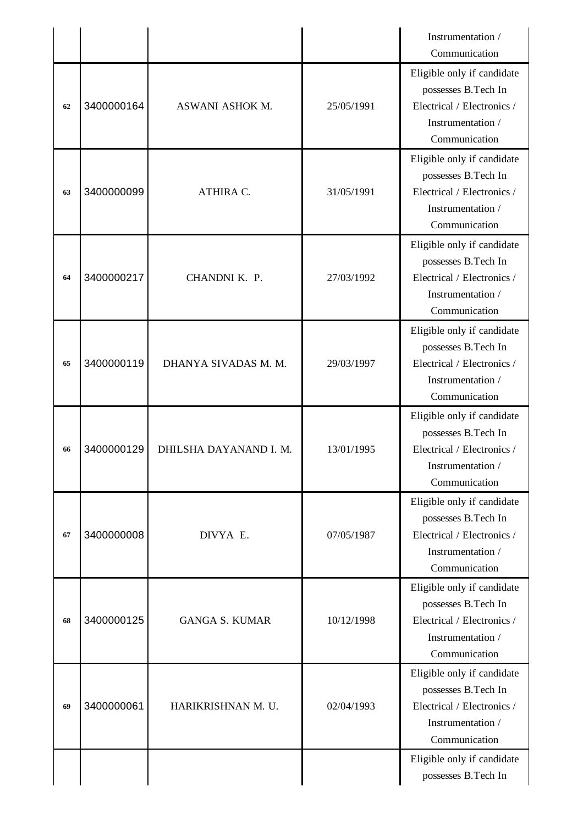|    |            |                        |            | Instrumentation /<br>Communication                                                                                    |
|----|------------|------------------------|------------|-----------------------------------------------------------------------------------------------------------------------|
| 62 | 3400000164 | ASWANI ASHOK M.        | 25/05/1991 | Eligible only if candidate<br>possesses B.Tech In<br>Electrical / Electronics /<br>Instrumentation /<br>Communication |
| 63 | 3400000099 | ATHIRA C.              | 31/05/1991 | Eligible only if candidate<br>possesses B.Tech In<br>Electrical / Electronics /<br>Instrumentation /<br>Communication |
| 64 | 3400000217 | CHANDNI K. P.          | 27/03/1992 | Eligible only if candidate<br>possesses B.Tech In<br>Electrical / Electronics /<br>Instrumentation /<br>Communication |
| 65 | 3400000119 | DHANYA SIVADAS M. M.   | 29/03/1997 | Eligible only if candidate<br>possesses B.Tech In<br>Electrical / Electronics /<br>Instrumentation /<br>Communication |
| 66 | 3400000129 | DHILSHA DAYANAND I. M. | 13/01/1995 | Eligible only if candidate<br>possesses B.Tech In<br>Electrical / Electronics /                                       |
|    |            |                        |            | Instrumentation /<br>Communication                                                                                    |
| 67 | 3400000008 | DIVYA E.               | 07/05/1987 | Eligible only if candidate<br>possesses B.Tech In<br>Electrical / Electronics /<br>Instrumentation /<br>Communication |
| 68 | 3400000125 | <b>GANGA S. KUMAR</b>  | 10/12/1998 | Eligible only if candidate<br>possesses B.Tech In<br>Electrical / Electronics /<br>Instrumentation /<br>Communication |
| 69 | 3400000061 | HARIKRISHNAN M. U.     | 02/04/1993 | Eligible only if candidate<br>possesses B.Tech In<br>Electrical / Electronics /<br>Instrumentation /<br>Communication |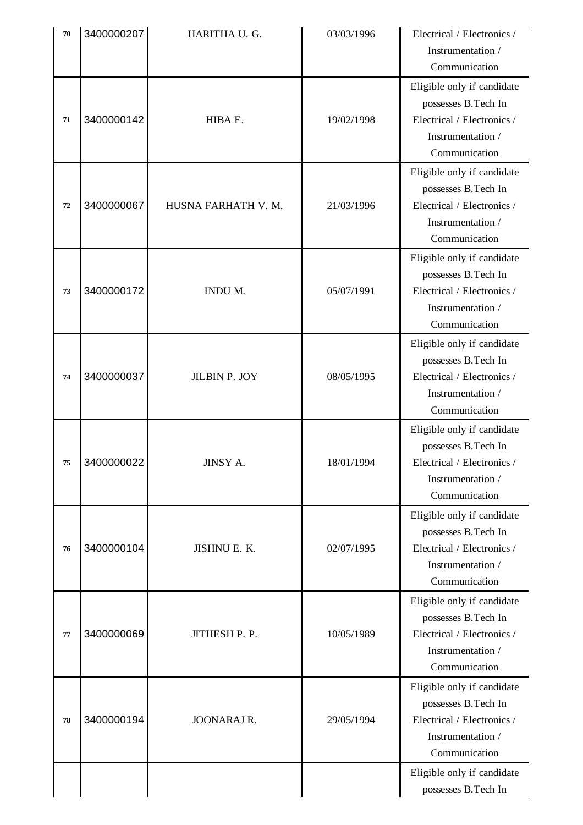| 70 | 3400000207 | HARITHA U. G.       | 03/03/1996 | Electrical / Electronics /<br>Instrumentation /<br>Communication                                                      |
|----|------------|---------------------|------------|-----------------------------------------------------------------------------------------------------------------------|
| 71 | 3400000142 | HIBA E.             | 19/02/1998 | Eligible only if candidate<br>possesses B.Tech In<br>Electrical / Electronics /<br>Instrumentation /<br>Communication |
| 72 | 3400000067 | HUSNA FARHATH V. M. | 21/03/1996 | Eligible only if candidate<br>possesses B.Tech In<br>Electrical / Electronics /<br>Instrumentation /<br>Communication |
| 73 | 3400000172 | INDU M.             | 05/07/1991 | Eligible only if candidate<br>possesses B.Tech In<br>Electrical / Electronics /<br>Instrumentation /<br>Communication |
| 74 | 3400000037 | JILBIN P. JOY       | 08/05/1995 | Eligible only if candidate<br>possesses B.Tech In<br>Electrical / Electronics /<br>Instrumentation /<br>Communication |
| 75 | 3400000022 | JINSY A.            | 18/01/1994 | Eligible only if candidate<br>possesses B.Tech In<br>Electrical / Electronics /<br>Instrumentation /<br>Communication |
| 76 | 3400000104 | JISHNU E. K.        | 02/07/1995 | Eligible only if candidate<br>possesses B.Tech In<br>Electrical / Electronics /<br>Instrumentation /<br>Communication |
| 77 | 3400000069 | JITHESH P. P.       | 10/05/1989 | Eligible only if candidate<br>possesses B.Tech In<br>Electrical / Electronics /<br>Instrumentation /<br>Communication |
| 78 | 3400000194 | <b>JOONARAJ R.</b>  | 29/05/1994 | Eligible only if candidate<br>possesses B.Tech In<br>Electrical / Electronics /<br>Instrumentation /<br>Communication |
|    |            |                     |            | Eligible only if candidate<br>possesses B.Tech In                                                                     |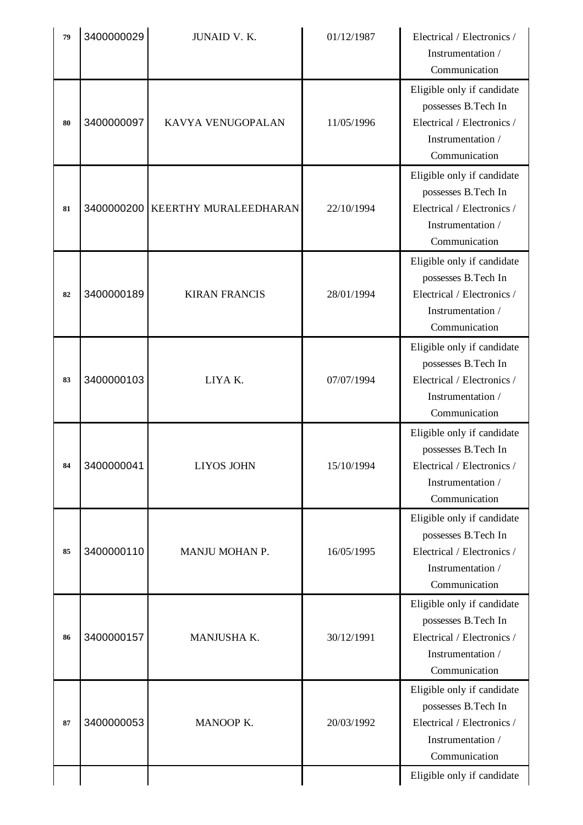| 79 | 3400000029 | JUNAID V. K.                     | 01/12/1987 | Electrical / Electronics /<br>Instrumentation /<br>Communication                                                      |
|----|------------|----------------------------------|------------|-----------------------------------------------------------------------------------------------------------------------|
| 80 | 3400000097 | KAVYA VENUGOPALAN                | 11/05/1996 | Eligible only if candidate<br>possesses B.Tech In<br>Electrical / Electronics /<br>Instrumentation /<br>Communication |
| 81 |            | 3400000200 KEERTHY MURALEEDHARAN | 22/10/1994 | Eligible only if candidate<br>possesses B.Tech In<br>Electrical / Electronics /<br>Instrumentation /<br>Communication |
| 82 | 3400000189 | <b>KIRAN FRANCIS</b>             | 28/01/1994 | Eligible only if candidate<br>possesses B.Tech In<br>Electrical / Electronics /<br>Instrumentation /<br>Communication |
| 83 | 3400000103 | LIYAK.                           | 07/07/1994 | Eligible only if candidate<br>possesses B.Tech In<br>Electrical / Electronics /<br>Instrumentation /<br>Communication |
| 84 | 3400000041 | <b>LIYOS JOHN</b>                | 15/10/1994 | Eligible only if candidate<br>possesses B.Tech In<br>Electrical / Electronics /<br>Instrumentation /<br>Communication |
| 85 | 3400000110 | MANJU MOHAN P.                   | 16/05/1995 | Eligible only if candidate<br>possesses B.Tech In<br>Electrical / Electronics /<br>Instrumentation /<br>Communication |
| 86 | 3400000157 | MANJUSHA K.                      | 30/12/1991 | Eligible only if candidate<br>possesses B.Tech In<br>Electrical / Electronics /<br>Instrumentation /<br>Communication |
| 87 | 3400000053 | MANOOP K.                        | 20/03/1992 | Eligible only if candidate<br>possesses B.Tech In<br>Electrical / Electronics /<br>Instrumentation /<br>Communication |
|    |            |                                  |            | Eligible only if candidate                                                                                            |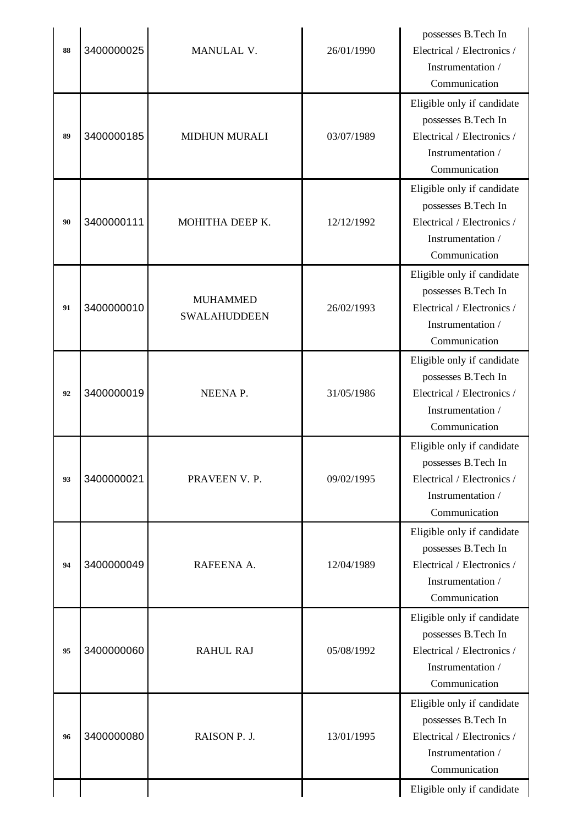| 88 | 3400000025 | MANULAL V.                             | 26/01/1990 | possesses B.Tech In<br>Electrical / Electronics /<br>Instrumentation /<br>Communication                               |
|----|------------|----------------------------------------|------------|-----------------------------------------------------------------------------------------------------------------------|
| 89 | 3400000185 | <b>MIDHUN MURALI</b>                   | 03/07/1989 | Eligible only if candidate<br>possesses B.Tech In<br>Electrical / Electronics /<br>Instrumentation /<br>Communication |
| 90 | 3400000111 | MOHITHA DEEP K.                        | 12/12/1992 | Eligible only if candidate<br>possesses B.Tech In<br>Electrical / Electronics /<br>Instrumentation /<br>Communication |
| 91 | 3400000010 | <b>MUHAMMED</b><br><b>SWALAHUDDEEN</b> | 26/02/1993 | Eligible only if candidate<br>possesses B.Tech In<br>Electrical / Electronics /<br>Instrumentation /<br>Communication |
| 92 | 3400000019 | NEENA P.                               | 31/05/1986 | Eligible only if candidate<br>possesses B.Tech In<br>Electrical / Electronics /<br>Instrumentation /<br>Communication |
| 93 | 3400000021 | PRAVEEN V. P.                          | 09/02/1995 | Eligible only if candidate<br>possesses B.Tech In<br>Electrical / Electronics /<br>Instrumentation /<br>Communication |
| 94 | 3400000049 | RAFEENA A.                             | 12/04/1989 | Eligible only if candidate<br>possesses B.Tech In<br>Electrical / Electronics /<br>Instrumentation /<br>Communication |
| 95 | 3400000060 | <b>RAHUL RAJ</b>                       | 05/08/1992 | Eligible only if candidate<br>possesses B.Tech In<br>Electrical / Electronics /<br>Instrumentation /<br>Communication |
| 96 | 3400000080 | RAISON P. J.                           | 13/01/1995 | Eligible only if candidate<br>possesses B.Tech In<br>Electrical / Electronics /<br>Instrumentation /<br>Communication |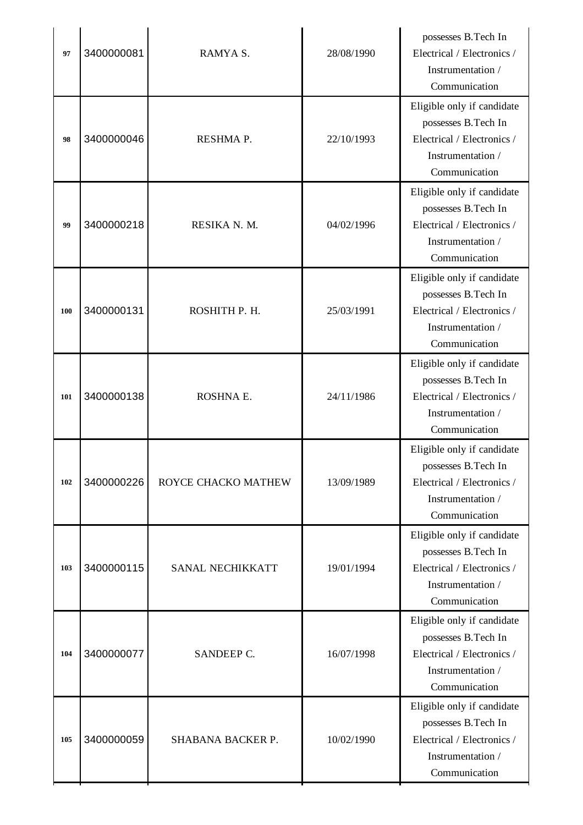| 97  | 3400000081 | RAMYA S.            | 28/08/1990 | possesses B.Tech In<br>Electrical / Electronics /<br>Instrumentation /<br>Communication                               |
|-----|------------|---------------------|------------|-----------------------------------------------------------------------------------------------------------------------|
| 98  | 3400000046 | RESHMA P.           | 22/10/1993 | Eligible only if candidate<br>possesses B.Tech In<br>Electrical / Electronics /<br>Instrumentation /<br>Communication |
| 99  | 3400000218 | RESIKA N. M.        | 04/02/1996 | Eligible only if candidate<br>possesses B.Tech In<br>Electrical / Electronics /<br>Instrumentation /<br>Communication |
| 100 | 3400000131 | ROSHITH P. H.       | 25/03/1991 | Eligible only if candidate<br>possesses B.Tech In<br>Electrical / Electronics /<br>Instrumentation /<br>Communication |
| 101 | 3400000138 | ROSHNA E.           | 24/11/1986 | Eligible only if candidate<br>possesses B.Tech In<br>Electrical / Electronics /<br>Instrumentation /<br>Communication |
| 102 | 3400000226 | ROYCE CHACKO MATHEW | 13/09/1989 | Eligible only if candidate<br>possesses B.Tech In<br>Electrical / Electronics /<br>Instrumentation /<br>Communication |
| 103 | 3400000115 | SANAL NECHIKKATT    | 19/01/1994 | Eligible only if candidate<br>possesses B.Tech In<br>Electrical / Electronics /<br>Instrumentation /<br>Communication |
| 104 | 3400000077 | SANDEEP C.          | 16/07/1998 | Eligible only if candidate<br>possesses B.Tech In<br>Electrical / Electronics /<br>Instrumentation /<br>Communication |
| 105 | 3400000059 | SHABANA BACKER P.   | 10/02/1990 | Eligible only if candidate<br>possesses B.Tech In<br>Electrical / Electronics /<br>Instrumentation /<br>Communication |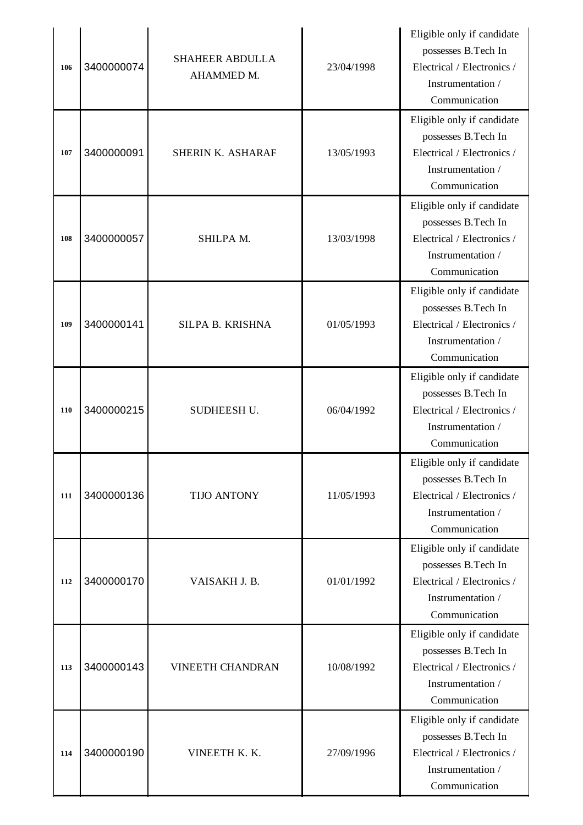| 106 | 3400000074 | <b>SHAHEER ABDULLA</b><br>AHAMMED M. | 23/04/1998 | Eligible only if candidate<br>possesses B.Tech In<br>Electrical / Electronics /<br>Instrumentation /<br>Communication  |
|-----|------------|--------------------------------------|------------|------------------------------------------------------------------------------------------------------------------------|
| 107 | 3400000091 | SHERIN K. ASHARAF                    | 13/05/1993 | Eligible only if candidate<br>possesses B.Tech In<br>Electrical / Electronics /<br>Instrumentation /<br>Communication  |
| 108 | 3400000057 | SHILPA M.                            | 13/03/1998 | Eligible only if candidate<br>possesses B.Tech In<br>Electrical / Electronics /<br>Instrumentation /<br>Communication  |
| 109 | 3400000141 | SILPA B. KRISHNA                     | 01/05/1993 | Eligible only if candidate<br>possesses B.Tech In<br>Electrical / Electronics /<br>Instrumentation /<br>Communication  |
| 110 | 3400000215 | SUDHEESH U.                          | 06/04/1992 | Eligible only if candidate<br>possesses B.Tech In<br>Electrical / Electronics /<br>Instrumentation /<br>Communication  |
| 111 | 3400000136 | <b>TIJO ANTONY</b>                   | 11/05/1993 | Eligible only if candidate<br>possesses B. Tech In<br>Electrical / Electronics /<br>Instrumentation /<br>Communication |
| 112 | 3400000170 | VAISAKH J. B.                        | 01/01/1992 | Eligible only if candidate<br>possesses B.Tech In<br>Electrical / Electronics /<br>Instrumentation /<br>Communication  |
| 113 | 3400000143 | <b>VINEETH CHANDRAN</b>              | 10/08/1992 | Eligible only if candidate<br>possesses B.Tech In<br>Electrical / Electronics /<br>Instrumentation /<br>Communication  |
| 114 | 3400000190 | VINEETH K. K.                        | 27/09/1996 | Eligible only if candidate<br>possesses B.Tech In<br>Electrical / Electronics /<br>Instrumentation /<br>Communication  |